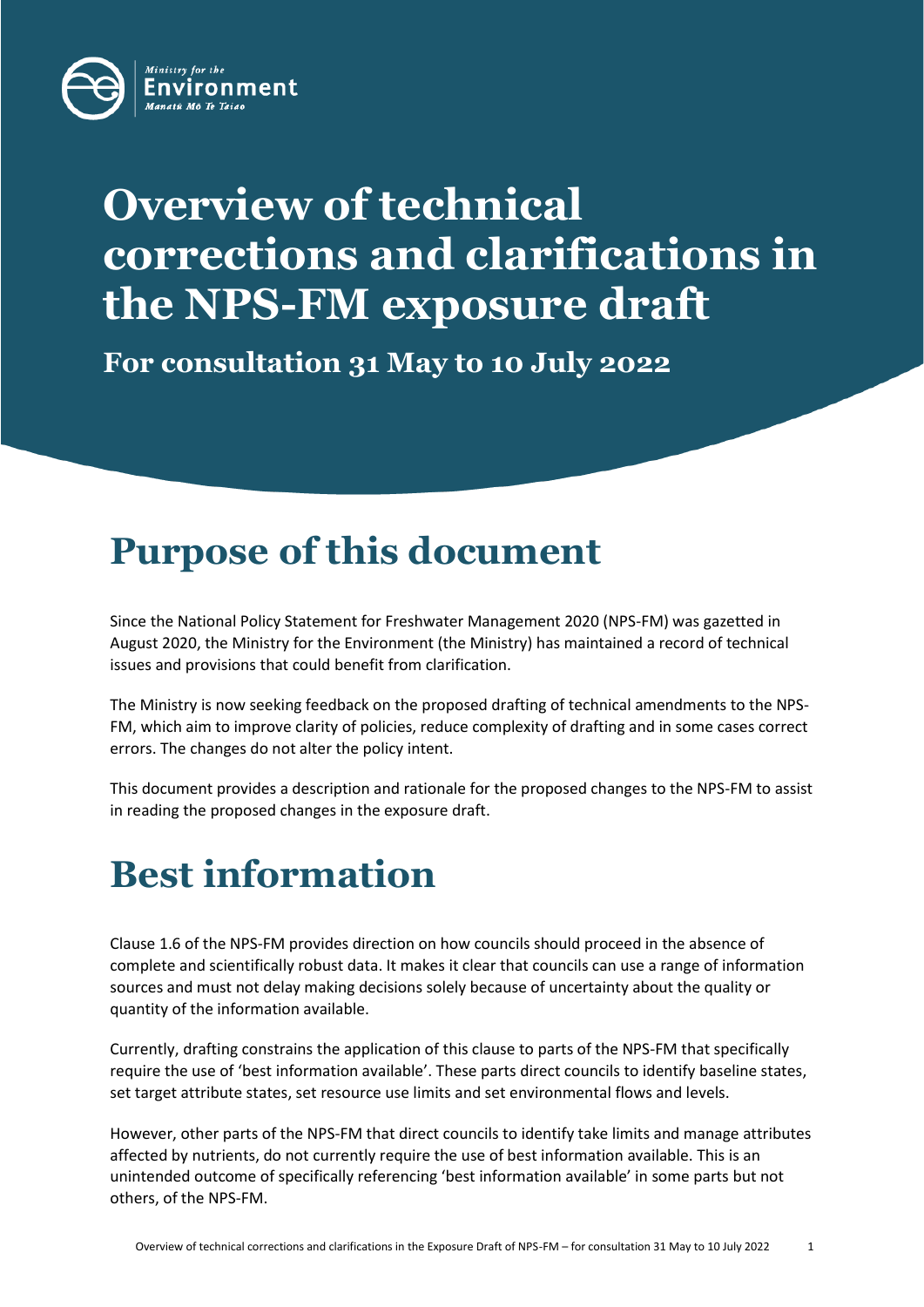

# **Overview of technical corrections and clarifications in the NPS-FM exposure draft**

**For consultation 31 May to 10 July 2022**

### **Purpose of this document**

Since the National Policy Statement for Freshwater Management 2020 (NPS-FM) was gazetted in August 2020, the Ministry for the Environment (the Ministry) has maintained a record of technical issues and provisions that could benefit from clarification.

The Ministry is now seeking feedback on the proposed drafting of technical amendments to the NPS-FM, which aim to improve clarity of policies, reduce complexity of drafting and in some cases correct errors. The changes do not alter the policy intent.

This document provides a description and rationale for the proposed changes to the NPS-FM to assist in reading the proposed changes in the exposure draft.

## **Best information**

Clause 1.6 of the NPS-FM provides direction on how councils should proceed in the absence of complete and scientifically robust data. It makes it clear that councils can use a range of information sources and must not delay making decisions solely because of uncertainty about the quality or quantity of the information available.

Currently, drafting constrains the application of this clause to parts of the NPS-FM that specifically require the use of 'best information available'. These parts direct councils to identify baseline states, set target attribute states, set resource use limits and set environmental flows and levels.

However, other parts of the NPS-FM that direct councils to identify take limits and manage attributes affected by nutrients, do not currently require the use of best information available. This is an unintended outcome of specifically referencing 'best information available' in some parts but not others, of the NPS-FM.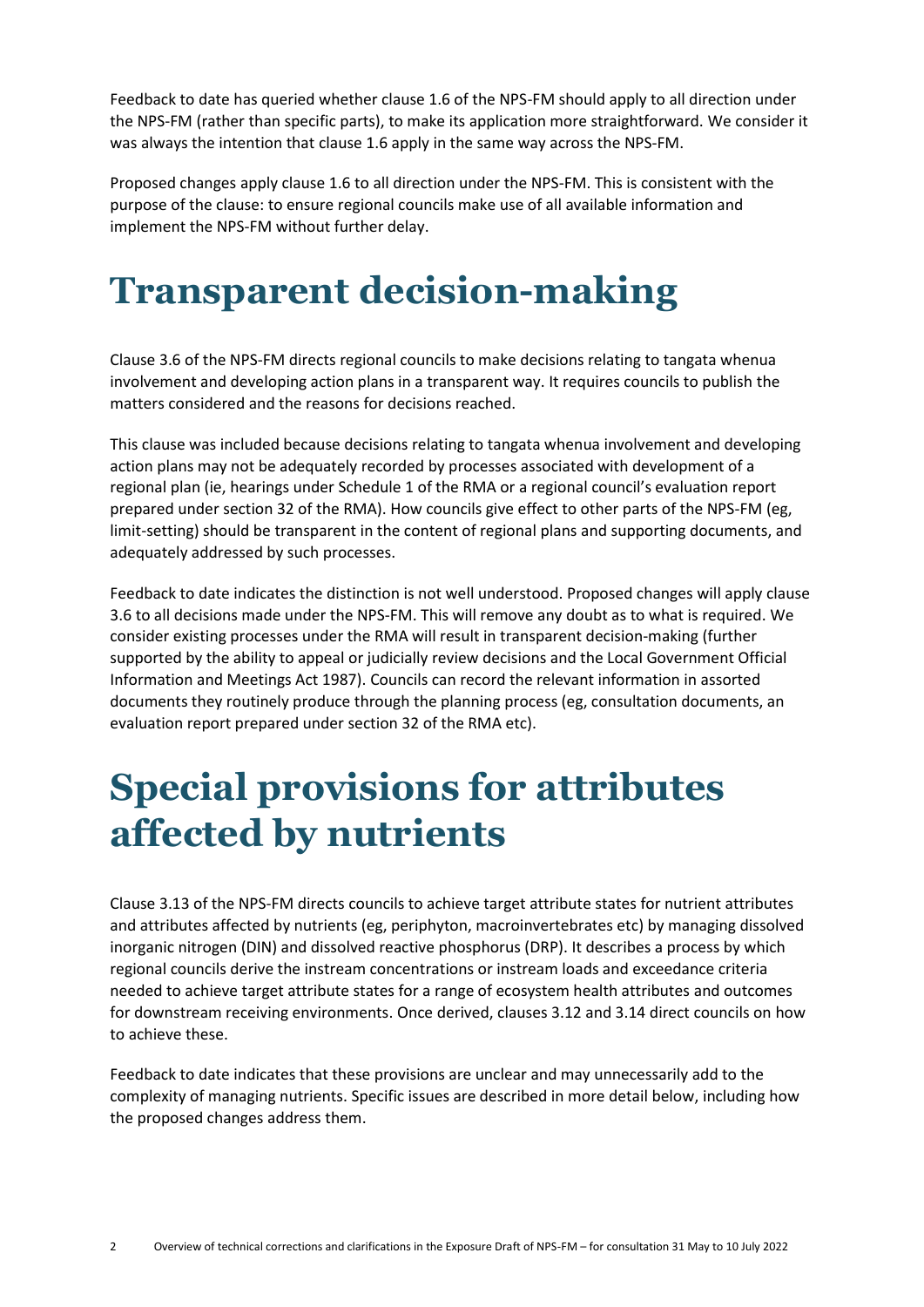Feedback to date has queried whether clause 1.6 of the NPS-FM should apply to all direction under the NPS-FM (rather than specific parts), to make its application more straightforward. We consider it was always the intention that clause 1.6 apply in the same way across the NPS-FM.

Proposed changes apply clause 1.6 to all direction under the NPS-FM. This is consistent with the purpose of the clause: to ensure regional councils make use of all available information and implement the NPS-FM without further delay.

### **Transparent decision-making**

Clause 3.6 of the NPS-FM directs regional councils to make decisions relating to tangata whenua involvement and developing action plans in a transparent way. It requires councils to publish the matters considered and the reasons for decisions reached.

This clause was included because decisions relating to tangata whenua involvement and developing action plans may not be adequately recorded by processes associated with development of a regional plan (ie, hearings under Schedule 1 of the RMA or a regional council's evaluation report prepared under section 32 of the RMA). How councils give effect to other parts of the NPS-FM (eg, limit-setting) should be transparent in the content of regional plans and supporting documents, and adequately addressed by such processes.

Feedback to date indicates the distinction is not well understood. Proposed changes will apply clause 3.6 to all decisions made under the NPS-FM. This will remove any doubt as to what is required. We consider existing processes under the RMA will result in transparent decision-making (further supported by the ability to appeal or judicially review decisions and the Local Government Official Information and Meetings Act 1987). Councils can record the relevant information in assorted documents they routinely produce through the planning process (eg, consultation documents, an evaluation report prepared under section 32 of the RMA etc).

### **Special provisions for attributes affected by nutrients**

Clause 3.13 of the NPS-FM directs councils to achieve target attribute states for nutrient attributes and attributes affected by nutrients (eg, periphyton, macroinvertebrates etc) by managing dissolved inorganic nitrogen (DIN) and dissolved reactive phosphorus (DRP). It describes a process by which regional councils derive the instream concentrations or instream loads and exceedance criteria needed to achieve target attribute states for a range of ecosystem health attributes and outcomes for downstream receiving environments. Once derived, clauses 3.12 and 3.14 direct councils on how to achieve these.

Feedback to date indicates that these provisions are unclear and may unnecessarily add to the complexity of managing nutrients. Specific issues are described in more detail below, including how the proposed changes address them.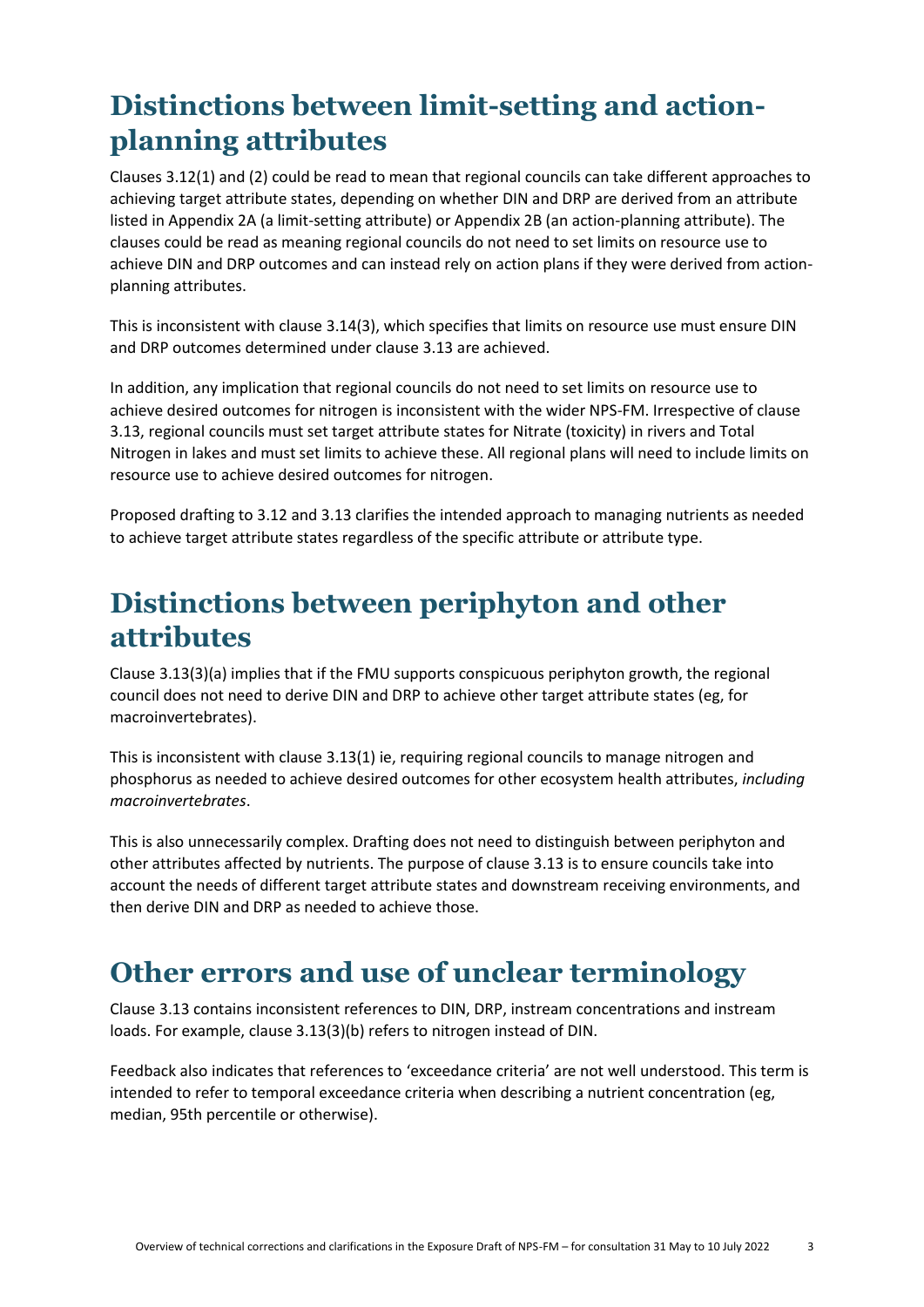#### **Distinctions between limit-setting and actionplanning attributes**

Clauses 3.12(1) and (2) could be read to mean that regional councils can take different approaches to achieving target attribute states, depending on whether DIN and DRP are derived from an attribute listed in Appendix 2A (a limit-setting attribute) or Appendix 2B (an action-planning attribute). The clauses could be read as meaning regional councils do not need to set limits on resource use to achieve DIN and DRP outcomes and can instead rely on action plans if they were derived from actionplanning attributes.

This is inconsistent with clause 3.14(3), which specifies that limits on resource use must ensure DIN and DRP outcomes determined under clause 3.13 are achieved.

In addition, any implication that regional councils do not need to set limits on resource use to achieve desired outcomes for nitrogen is inconsistent with the wider NPS-FM. Irrespective of clause 3.13, regional councils must set target attribute states for Nitrate (toxicity) in rivers and Total Nitrogen in lakes and must set limits to achieve these. All regional plans will need to include limits on resource use to achieve desired outcomes for nitrogen.

Proposed drafting to 3.12 and 3.13 clarifies the intended approach to managing nutrients as needed to achieve target attribute states regardless of the specific attribute or attribute type.

#### **Distinctions between periphyton and other attributes**

Clause 3.13(3)(a) implies that if the FMU supports conspicuous periphyton growth, the regional council does not need to derive DIN and DRP to achieve other target attribute states (eg, for macroinvertebrates).

This is inconsistent with clause 3.13(1) ie, requiring regional councils to manage nitrogen and phosphorus as needed to achieve desired outcomes for other ecosystem health attributes, *including macroinvertebrates*.

This is also unnecessarily complex. Drafting does not need to distinguish between periphyton and other attributes affected by nutrients. The purpose of clause 3.13 is to ensure councils take into account the needs of different target attribute states and downstream receiving environments, and then derive DIN and DRP as needed to achieve those.

#### **Other errors and use of unclear terminology**

Clause 3.13 contains inconsistent references to DIN, DRP, instream concentrations and instream loads. For example, clause 3.13(3)(b) refers to nitrogen instead of DIN.

Feedback also indicates that references to 'exceedance criteria' are not well understood. This term is intended to refer to temporal exceedance criteria when describing a nutrient concentration (eg, median, 95th percentile or otherwise).